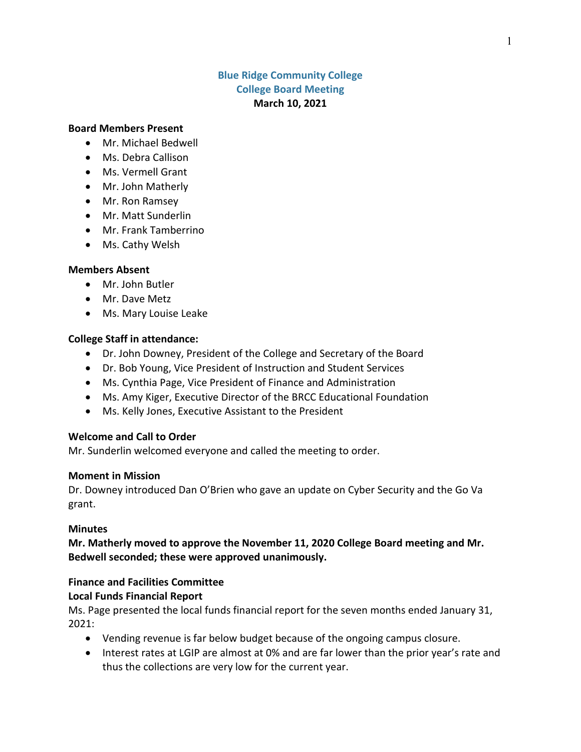# **Blue Ridge Community College College Board Meeting March 10, 2021**

## **Board Members Present**

- Mr. Michael Bedwell
- Ms. Debra Callison
- Ms. Vermell Grant
- Mr. John Matherly
- Mr. Ron Ramsey
- Mr. Matt Sunderlin
- Mr. Frank Tamberrino
- Ms. Cathy Welsh

## **Members Absent**

- Mr. John Butler
- Mr. Dave Metz
- Ms. Mary Louise Leake

## **College Staff in attendance:**

- Dr. John Downey, President of the College and Secretary of the Board
- Dr. Bob Young, Vice President of Instruction and Student Services
- Ms. Cynthia Page, Vice President of Finance and Administration
- Ms. Amy Kiger, Executive Director of the BRCC Educational Foundation
- Ms. Kelly Jones, Executive Assistant to the President

## **Welcome and Call to Order**

Mr. Sunderlin welcomed everyone and called the meeting to order.

## **Moment in Mission**

Dr. Downey introduced Dan O'Brien who gave an update on Cyber Security and the Go Va grant.

## **Minutes**

**Mr. Matherly moved to approve the November 11, 2020 College Board meeting and Mr. Bedwell seconded; these were approved unanimously.**

# **Finance and Facilities Committee**

# **Local Funds Financial Report**

Ms. Page presented the local funds financial report for the seven months ended January 31, 2021:

- Vending revenue is far below budget because of the ongoing campus closure.
- Interest rates at LGIP are almost at 0% and are far lower than the prior year's rate and thus the collections are very low for the current year.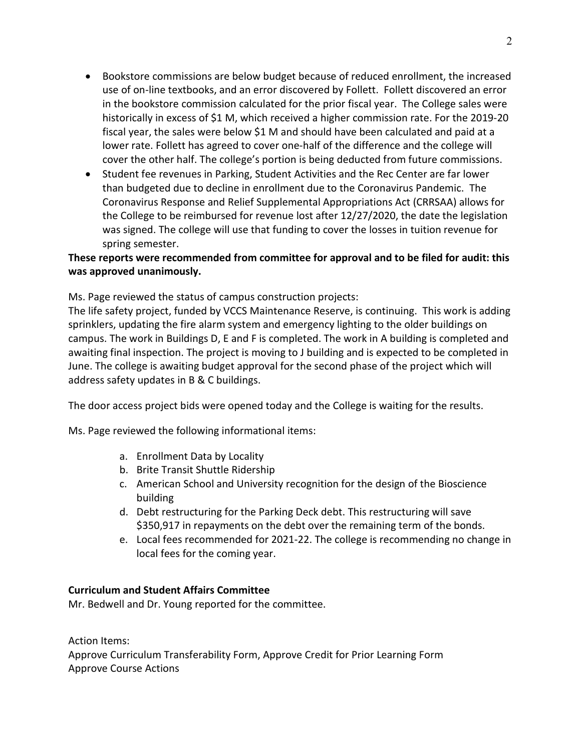- Bookstore commissions are below budget because of reduced enrollment, the increased use of on-line textbooks, and an error discovered by Follett. Follett discovered an error in the bookstore commission calculated for the prior fiscal year. The College sales were historically in excess of \$1 M, which received a higher commission rate. For the 2019-20 fiscal year, the sales were below \$1 M and should have been calculated and paid at a lower rate. Follett has agreed to cover one-half of the difference and the college will cover the other half. The college's portion is being deducted from future commissions.
- Student fee revenues in Parking, Student Activities and the Rec Center are far lower than budgeted due to decline in enrollment due to the Coronavirus Pandemic. The Coronavirus Response and Relief Supplemental Appropriations Act (CRRSAA) allows for the College to be reimbursed for revenue lost after 12/27/2020, the date the legislation was signed. The college will use that funding to cover the losses in tuition revenue for spring semester.

# **These reports were recommended from committee for approval and to be filed for audit: this was approved unanimously.**

Ms. Page reviewed the status of campus construction projects:

The life safety project, funded by VCCS Maintenance Reserve, is continuing. This work is adding sprinklers, updating the fire alarm system and emergency lighting to the older buildings on campus. The work in Buildings D, E and F is completed. The work in A building is completed and awaiting final inspection. The project is moving to J building and is expected to be completed in June. The college is awaiting budget approval for the second phase of the project which will address safety updates in B & C buildings.

The door access project bids were opened today and the College is waiting for the results.

Ms. Page reviewed the following informational items:

- a. Enrollment Data by Locality
- b. Brite Transit Shuttle Ridership
- c. American School and University recognition for the design of the Bioscience building
- d. Debt restructuring for the Parking Deck debt. This restructuring will save \$350,917 in repayments on the debt over the remaining term of the bonds.
- e. Local fees recommended for 2021-22. The college is recommending no change in local fees for the coming year.

# **Curriculum and Student Affairs Committee**

Mr. Bedwell and Dr. Young reported for the committee.

Action Items: Approve Curriculum Transferability Form, Approve Credit for Prior Learning Form Approve Course Actions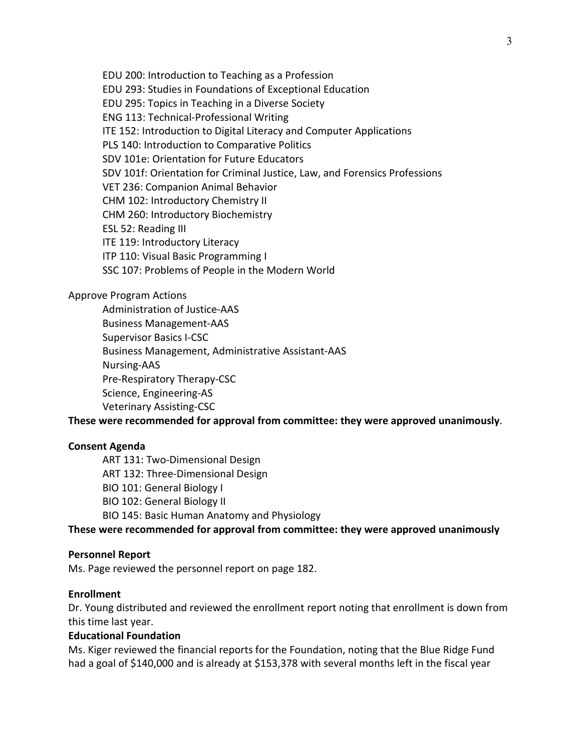EDU 200: Introduction to Teaching as a Profession EDU 293: Studies in Foundations of Exceptional Education EDU 295: Topics in Teaching in a Diverse Society ENG 113: Technical-Professional Writing ITE 152: Introduction to Digital Literacy and Computer Applications PLS 140: Introduction to Comparative Politics SDV 101e: Orientation for Future Educators SDV 101f: Orientation for Criminal Justice, Law, and Forensics Professions VET 236: Companion Animal Behavior CHM 102: Introductory Chemistry II CHM 260: Introductory Biochemistry ESL 52: Reading III ITE 119: Introductory Literacy ITP 110: Visual Basic Programming I SSC 107: Problems of People in the Modern World

## Approve Program Actions

Administration of Justice-AAS Business Management-AAS Supervisor Basics I-CSC Business Management, Administrative Assistant-AAS Nursing-AAS Pre-Respiratory Therapy-CSC Science, Engineering-AS Veterinary Assisting-CSC

**These were recommended for approval from committee: they were approved unanimously**.

## **Consent Agenda**

ART 131: Two-Dimensional Design ART 132: Three-Dimensional Design BIO 101: General Biology I BIO 102: General Biology II BIO 145: Basic Human Anatomy and Physiology

**These were recommended for approval from committee: they were approved unanimously**

## **Personnel Report**

Ms. Page reviewed the personnel report on page 182.

## **Enrollment**

Dr. Young distributed and reviewed the enrollment report noting that enrollment is down from this time last year.

## **Educational Foundation**

Ms. Kiger reviewed the financial reports for the Foundation, noting that the Blue Ridge Fund had a goal of \$140,000 and is already at \$153,378 with several months left in the fiscal year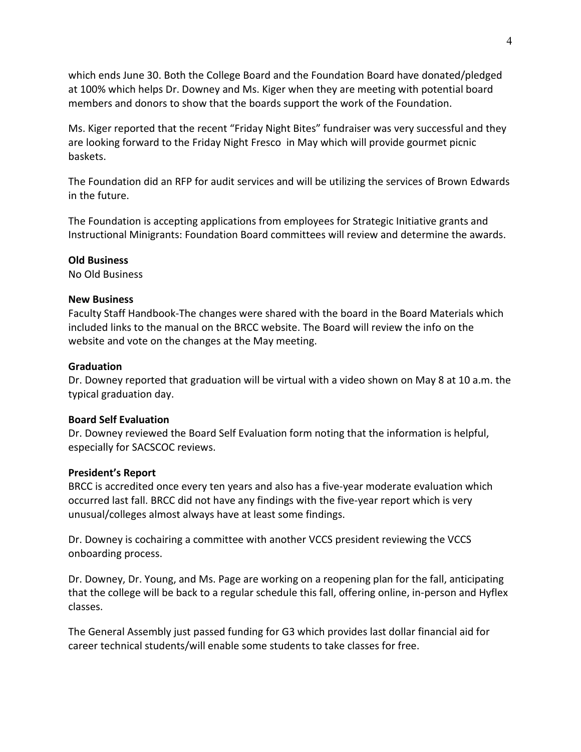which ends June 30. Both the College Board and the Foundation Board have donated/pledged at 100% which helps Dr. Downey and Ms. Kiger when they are meeting with potential board members and donors to show that the boards support the work of the Foundation.

Ms. Kiger reported that the recent "Friday Night Bites" fundraiser was very successful and they are looking forward to the Friday Night Fresco in May which will provide gourmet picnic baskets.

The Foundation did an RFP for audit services and will be utilizing the services of Brown Edwards in the future.

The Foundation is accepting applications from employees for Strategic Initiative grants and Instructional Minigrants: Foundation Board committees will review and determine the awards.

# **Old Business**

No Old Business

## **New Business**

Faculty Staff Handbook-The changes were shared with the board in the Board Materials which included links to the manual on the BRCC website. The Board will review the info on the website and vote on the changes at the May meeting.

## **Graduation**

Dr. Downey reported that graduation will be virtual with a video shown on May 8 at 10 a.m. the typical graduation day.

## **Board Self Evaluation**

Dr. Downey reviewed the Board Self Evaluation form noting that the information is helpful, especially for SACSCOC reviews.

# **President's Report**

BRCC is accredited once every ten years and also has a five-year moderate evaluation which occurred last fall. BRCC did not have any findings with the five-year report which is very unusual/colleges almost always have at least some findings.

Dr. Downey is cochairing a committee with another VCCS president reviewing the VCCS onboarding process.

Dr. Downey, Dr. Young, and Ms. Page are working on a reopening plan for the fall, anticipating that the college will be back to a regular schedule this fall, offering online, in-person and Hyflex classes.

The General Assembly just passed funding for G3 which provides last dollar financial aid for career technical students/will enable some students to take classes for free.